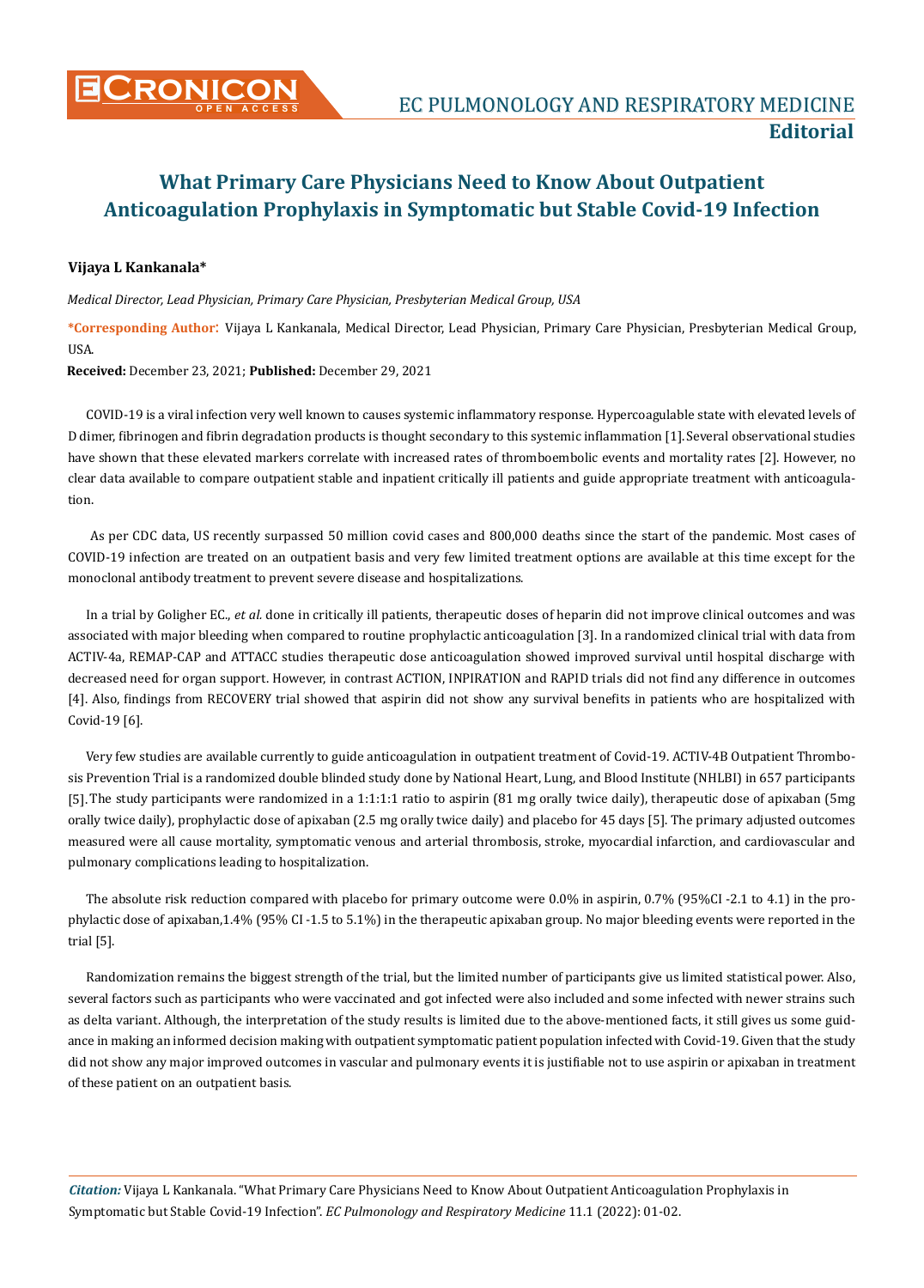## **What Primary Care Physicians Need to Know About Outpatient Anticoagulation Prophylaxis in Symptomatic but Stable Covid-19 Infection**

## **Vijaya L Kankanala\***

*Medical Director, Lead Physician, Primary Care Physician, Presbyterian Medical Group, USA*

**\*Corresponding Author**: Vijaya L Kankanala, Medical Director, Lead Physician, Primary Care Physician, Presbyterian Medical Group, **IISA** 

**Received:** December 23, 2021; **Published:** December 29, 2021

COVID-19 is a viral infection very well known to causes systemic inflammatory response. Hypercoagulable state with elevated levels of D dimer, fibrinogen and fibrin degradation products is thought secondary to this systemic inflammation [1].Several observational studies have shown that these elevated markers correlate with increased rates of thromboembolic events and mortality rates [2]. However, no clear data available to compare outpatient stable and inpatient critically ill patients and guide appropriate treatment with anticoagulation.

 As per CDC data, US recently surpassed 50 million covid cases and 800,000 deaths since the start of the pandemic. Most cases of COVID-19 infection are treated on an outpatient basis and very few limited treatment options are available at this time except for the monoclonal antibody treatment to prevent severe disease and hospitalizations.

In a trial by Goligher EC., *et al.* done in critically ill patients, therapeutic doses of heparin did not improve clinical outcomes and was associated with major bleeding when compared to routine prophylactic anticoagulation [3]. In a randomized clinical trial with data from ACTIV-4a, REMAP-CAP and ATTACC studies therapeutic dose anticoagulation showed improved survival until hospital discharge with decreased need for organ support. However, in contrast ACTION, INPIRATION and RAPID trials did not find any difference in outcomes [4]. Also, findings from RECOVERY trial showed that aspirin did not show any survival benefits in patients who are hospitalized with Covid-19 [6].

Very few studies are available currently to guide anticoagulation in outpatient treatment of Covid-19. ACTIV-4B Outpatient Thrombosis Prevention Trial is a randomized double blinded study done by National Heart, Lung, and Blood Institute (NHLBI) in 657 participants [5]. The study participants were randomized in a 1:1:1:1 ratio to aspirin (81 mg orally twice daily), therapeutic dose of apixaban (5mg orally twice daily), prophylactic dose of apixaban (2.5 mg orally twice daily) and placebo for 45 days [5]. The primary adjusted outcomes measured were all cause mortality, symptomatic venous and arterial thrombosis, stroke, myocardial infarction, and cardiovascular and pulmonary complications leading to hospitalization.

The absolute risk reduction compared with placebo for primary outcome were 0.0% in aspirin, 0.7% (95%CI -2.1 to 4.1) in the prophylactic dose of apixaban,1.4% (95% CI -1.5 to 5.1%) in the therapeutic apixaban group. No major bleeding events were reported in the trial [5].

Randomization remains the biggest strength of the trial, but the limited number of participants give us limited statistical power. Also, several factors such as participants who were vaccinated and got infected were also included and some infected with newer strains such as delta variant. Although, the interpretation of the study results is limited due to the above-mentioned facts, it still gives us some guidance in making an informed decision making with outpatient symptomatic patient population infected with Covid-19. Given that the study did not show any major improved outcomes in vascular and pulmonary events it is justifiable not to use aspirin or apixaban in treatment of these patient on an outpatient basis.

*Citation:* Vijaya L Kankanala. "What Primary Care Physicians Need to Know About Outpatient Anticoagulation Prophylaxis in Symptomatic but Stable Covid-19 Infection". *EC Pulmonology and Respiratory Medicine* 11.1 (2022): 01-02.